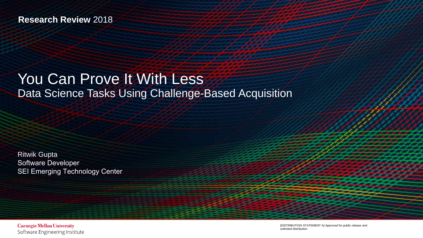### **Research Review** 2018

# You Can Prove It With Less Data Science Tasks Using Challenge-Based Acquisition

Ritwik Gupta Software Developer SEI Emerging Technology Center

**Carnegie Mellon University** Software Engineering Institute

[DISTRIBUTION STATEMENT A] Approved for public release and unlimited distribution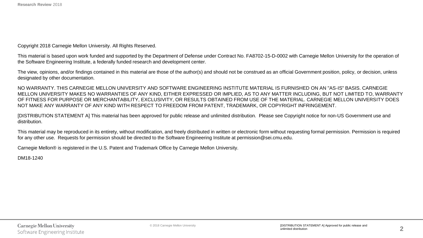Copyright 2018 Carnegie Mellon University. All Rights Reserved.

This material is based upon work funded and supported by the Department of Defense under Contract No. FA8702-15-D-0002 with Carnegie Mellon University for the operation of the Software Engineering Institute, a federally funded research and development center.

The view, opinions, and/or findings contained in this material are those of the author(s) and should not be construed as an official Government position, policy, or decision, unless designated by other documentation.

NO WARRANTY. THIS CARNEGIE MELLON UNIVERSITY AND SOFTWARE ENGINEERING INSTITUTE MATERIAL IS FURNISHED ON AN "AS-IS" BASIS. CARNEGIE MELLON UNIVERSITY MAKES NO WARRANTIES OF ANY KIND, EITHER EXPRESSED OR IMPLIED, AS TO ANY MATTER INCLUDING, BUT NOT LIMITED TO, WARRANTY OF FITNESS FOR PURPOSE OR MERCHANTABILITY, EXCLUSIVITY, OR RESULTS OBTAINED FROM USE OF THE MATERIAL. CARNEGIE MELLON UNIVERSITY DOES NOT MAKE ANY WARRANTY OF ANY KIND WITH RESPECT TO FREEDOM FROM PATENT, TRADEMARK, OR COPYRIGHT INFRINGEMENT.

[DISTRIBUTION STATEMENT A] This material has been approved for public release and unlimited distribution. Please see Copyright notice for non-US Government use and distribution.

This material may be reproduced in its entirety, without modification, and freely distributed in written or electronic form without requesting formal permission. Permission is required for any other use. Requests for permission should be directed to the Software Engineering Institute at permission@sei.cmu.edu.

Carnegie Mellon® is registered in the U.S. Patent and Trademark Office by Carnegie Mellon University.

DM18-1240